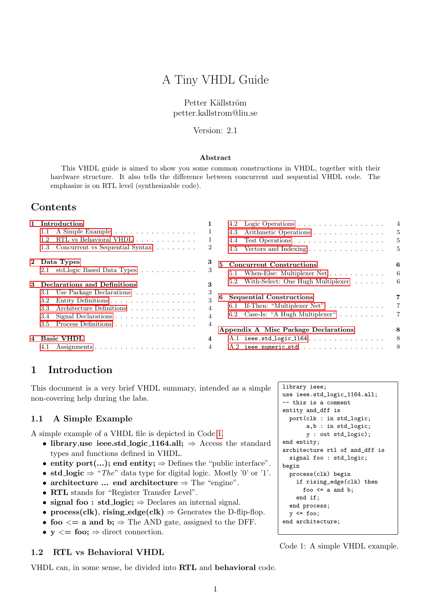# A Tiny VHDL Guide

#### Petter Källström petter.kallstrom@liu.se

Version: 2.1

#### Abstract

This VHDL guide is aimed to show you some common constructions in VHDL, together with their hardware structure. It also tells the difference between concurrent and sequential VHDL code. The emphasize is on RTL level (synthesizable code).

## Contents

| $\mathbf{1}$ | Introduction                             | 1                                                        |                |  |  |  |
|--------------|------------------------------------------|----------------------------------------------------------|----------------|--|--|--|
|              | 1.1                                      | A Simple Example                                         | 1              |  |  |  |
|              | 1.2                                      | RTL vs Behavioral VHDL                                   | 1              |  |  |  |
|              | $1.3 -$                                  | Concurrent vs Sequential Syntax                          | $\overline{2}$ |  |  |  |
| $\bf{2}$     |                                          | 3<br>Data Types                                          |                |  |  |  |
|              | 2.1                                      | std_logic Based Data Types                               | 3              |  |  |  |
| 3            | 3<br><b>Declarations and Definitions</b> |                                                          |                |  |  |  |
|              | 3.1                                      | Use Package Declarations                                 | 3              |  |  |  |
|              |                                          | 3.2 Entity Definitions                                   | 3              |  |  |  |
|              |                                          | 3.3 Architecture Definitions                             | $\overline{4}$ |  |  |  |
|              | 3.4                                      | Signal Declarations $\ldots \ldots \ldots \ldots \ldots$ | $\overline{4}$ |  |  |  |
|              | $3.5^{\circ}$                            | Process Definitions                                      | $\overline{4}$ |  |  |  |
| 4            |                                          | <b>Basic VHDL</b>                                        | 4              |  |  |  |
|              | 4.1                                      |                                                          | $\overline{4}$ |  |  |  |

|    | 4.2 | Logic Operations $\ldots \ldots \ldots \ldots \ldots$     | $\overline{4}$ |
|----|-----|-----------------------------------------------------------|----------------|
|    | 4.3 | Arithmetic Operations                                     | 5              |
|    | 4.4 | Test Operations                                           | 5              |
|    | 4.5 | Vectors and Indexing $\ldots \ldots \ldots \ldots \ldots$ | 5              |
| 5. |     | <b>Concurrent Constructions</b>                           | 6              |
|    |     | 5.1 When-Else: Multiplexer Net                            | 6              |
|    |     | 5.2 With-Select: One Hugh Multiplexer                     | 6              |
| 6. |     | <b>Sequential Constructions</b>                           | 7              |
|    |     | 6.1 If-Then: "Multiplexer Net" $\ldots \ldots \ldots$     | $\overline{7}$ |
|    |     | 6.2 Case-Is: "A Hugh Multiplexer"                         | $\overline{7}$ |
|    |     | Appendix A Misc Package Declarations                      | 8              |
|    |     | $A.1$ ieee.std_logic_1164                                 | 8              |
|    |     | $A.2$ ieee.numeric_std                                    | 8              |
|    |     |                                                           |                |

## <span id="page-0-0"></span>1 Introduction

This document is a very brief VHDL summary, intended as a simple non-covering help during the labs.

#### <span id="page-0-1"></span>1.1 A Simple Example

A simple example of a VHDL file is depicted in Code [1.](#page-0-3)

- library, use ieee.std\_logic\_1164.all;  $\Rightarrow$  Access the standard types and functions defined in VHDL.
- entity port(...); end entity;  $\Rightarrow$  Defines the "public interface".
- std\_logic  $\Rightarrow$  "The" data type for digital logic. Mostly '0' or '1'.
- architecture  $\ldots$  end architecture  $\Rightarrow$  The "engine".
- RTL stands for "Register Transfer Level".
- signal foo : std\_logic;  $\Rightarrow$  Declares an internal signal.
- process(clk), rising\_edge(clk)  $\Rightarrow$  Generates the D-flip-flop.
- foo  $\leq$  a and b;  $\Rightarrow$  The AND gate, assigned to the DFF.
- $y \leq foo$ ;  $\Rightarrow$  direct connection.

#### <span id="page-0-2"></span>1.2 RTL vs Behavioral VHDL

VHDL can, in some sense, be divided into RTL and behavioral code.

<span id="page-0-3"></span>library ieee; use ieee.std\_logic\_1164.all; -- this is a comment entity and\_dff is port(clk : in std\_logic; a,b : in std\_logic; y : out std\_logic); end entity; architecture rtl of and\_dff is signal foo : std\_logic; begin process(clk) begin if rising\_edge(clk) then foo  $\leq$  a and b; end if; end process;  $y \leq f$ oo; end architecture;

Code 1: A simple VHDL example.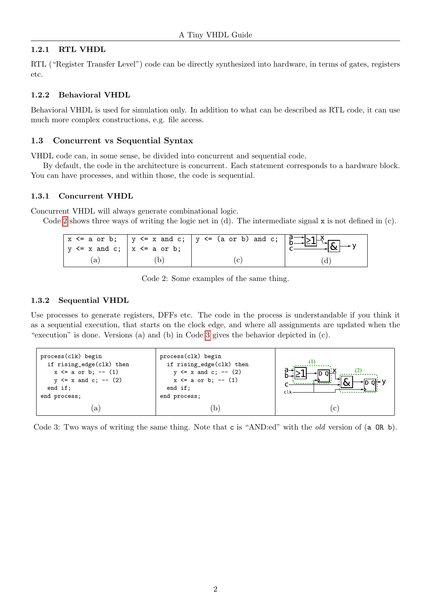### 1.2.1 RTL VHDL

RTL ("Register Transfer Level") code can be directly synthesized into hardware, in terms of gates, registers etc.

#### 1.2.2 Behavioral VHDL

Behavioral VHDL is used for simulation only. In addition to what can be described as RTL code, it can use much more complex constructions, e.g. file access.

#### <span id="page-1-0"></span>1.3 Concurrent vs Sequential Syntax

VHDL code can, in some sense, be divided into concurrent and sequential code.

By default, the code in the architecture is concurrent. Each statement corresponds to a hardware block. You can have processes, and within those, the code is sequential.

#### 1.3.1 Concurrent VHDL

Concurrent VHDL will always generate combinational logic.

<span id="page-1-1"></span>Code [2](#page-1-1) shows three ways of writing the logic net in (d). The intermediate signal  $x$  is not defined in (c).

| $ y \le x$ and c; $ x \le a$ or b; | $\overline{x}$ $\leq$ a or b; $\overline{y}$ $\leq$ x and c; $\overline{y}$ $\leq$ (a or b) and c; $\overline{a}$ $\geq$ $\frac{1}{2}$ |  |
|------------------------------------|----------------------------------------------------------------------------------------------------------------------------------------|--|
|                                    |                                                                                                                                        |  |

Code 2: Some examples of the same thing.

#### 1.3.2 Sequential VHDL

Use processes to generate registers, DFFs etc. The code in the process is understandable if you think it as a sequential execution, that starts on the clock edge, and where all assignments are updated when the "execution" is done. Versions (a) and (b) in Code [3](#page-1-2) gives the behavior depicted in (c).

<span id="page-1-2"></span>

| process(clk) begin<br>if rising_edge(clk) then<br>$x \le a$ or b; -- (1)<br>$y \le x$ and c; -- (2)<br>end if:<br>end process; | process(clk) begin<br>if rising_edge(clk) then<br>$y \le x$ and c; -- (2)<br>$x \le a$ or b; -- (1)<br>end if:<br>end process; |              |
|--------------------------------------------------------------------------------------------------------------------------------|--------------------------------------------------------------------------------------------------------------------------------|--------------|
| a                                                                                                                              |                                                                                                                                | $\mathbf{c}$ |

Code 3: Two ways of writing the same thing. Note that c is "AND:ed" with the *old* version of (a OR b).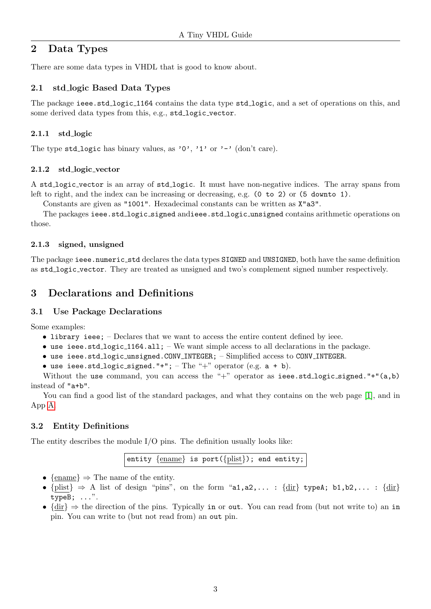## <span id="page-2-0"></span>2 Data Types

There are some data types in VHDL that is good to know about.

## <span id="page-2-1"></span>2.1 std logic Based Data Types

The package ieee.std logic 1164 contains the data type std logic, and a set of operations on this, and some derived data types from this, e.g., std\_logic\_vector.

### 2.1.1 std logic

The type std\_logic has binary values, as '0', '1' or '-' (don't care).

#### 2.1.2 std logic vector

A std logic vector is an array of std logic. It must have non-negative indices. The array spans from left to right, and the index can be increasing or decreasing, e.g. (0 to 2) or (5 downto 1).

Constants are given as "1001". Hexadecimal constants can be written as X"a3".

The packages ieee.std logic signed andieee.std logic unsigned contains arithmetic operations on those.

#### 2.1.3 signed, unsigned

The package ieee.numeric\_std declares the data types SIGNED and UNSIGNED, both have the same definition as std logic vector. They are treated as unsigned and two's complement signed number respectively.

## <span id="page-2-2"></span>3 Declarations and Definitions

#### <span id="page-2-3"></span>3.1 Use Package Declarations

Some examples:

- library ieee; Declares that we want to access the entire content defined by ieee.
- use ieee.std\_logic\_1164.all; We want simple access to all declarations in the package.
- use ieee.std logic unsigned.CONV INTEGER; Simplified access to CONV INTEGER.
- use ieee.std\_logic\_signed."+"; The "+" operator (e.g.  $a + b$ ).

Without the use command, you can access the "+" operator as ieee.std\_logic\_signed."+" $(a,b)$ instead of "a+b".

You can find a good list of the standard packages, and what they contains on the web page [\[1\]](#page-6-3), and in App [A.](#page-7-0)

## <span id="page-2-4"></span>3.2 Entity Definitions

The entity describes the module I/O pins. The definition usually looks like:

entity {ename} is port({plist}); end entity;

- {ename}  $\Rightarrow$  The name of the entity.
- ${\text{plist}} \Rightarrow A$  list of design "pins", on the form "a1,a2,...:  ${\text{dir}}$  typeA; b1,b2,...:  ${\text{dir}}$ typeB; ...".
- $\{dir\} \Rightarrow$  the direction of the pins. Typically in or out. You can read from (but not write to) an in pin. You can write to (but not read from) an out pin.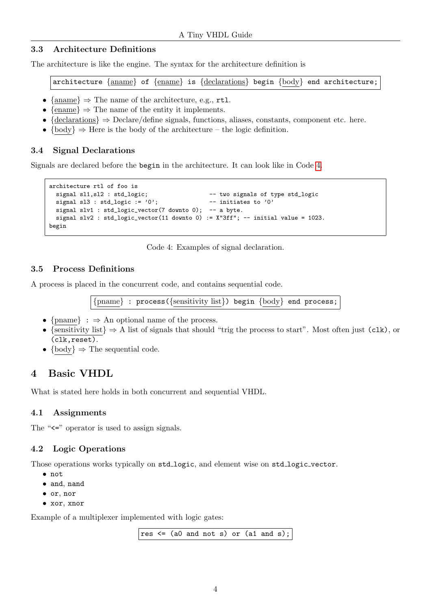### <span id="page-3-0"></span>3.3 Architecture Definitions

The architecture is like the engine. The syntax for the architecture definition is

architecture {aname} of {ename} is {declarations} begin {body} end architecture;

- {aname}  $\Rightarrow$  The name of the architecture, e.g., rtl.
- $\{\text{ename}\} \Rightarrow \text{The name of the entity it implements.}$
- ${declarations} \Rightarrow Declared defined in equations, aliases, constants, component etc. here.$
- $\{body\} \Rightarrow$  Here is the body of the architecture the logic definition.

### <span id="page-3-1"></span>3.4 Signal Declarations

<span id="page-3-6"></span>Signals are declared before the begin in the architecture. It can look like in Code [4.](#page-3-6)

```
architecture rtl of foo is
 signal sl1, sl2 : std_logic; -- two signals of type std_logic
 signal sl3 : std_logic := '0'; - initiates to '0'signal slv1 : std_logic_vector(7 downto 0); -- a byte.
 signal slv2 : std\_logic\_vector(11 downto 0) := X''3ff''; -- initial value = 1023.
begin
```
Code 4: Examples of signal declaration.

### <span id="page-3-2"></span>3.5 Process Definitions

A process is placed in the concurrent code, and contains sequential code.

{pname} : process({sensitivity list}) begin {body} end process;

- {pname} :  $\Rightarrow$  An optional name of the process.
- {sensitivity list}  $\Rightarrow$  A list of signals that should "trig the process to start". Most often just (clk), or (clk,reset).
- {body}  $\Rightarrow$  The sequential code.

## <span id="page-3-3"></span>4 Basic VHDL

What is stated here holds in both concurrent and sequential VHDL.

## <span id="page-3-4"></span>4.1 Assignments

The " $\leq$ " operator is used to assign signals.

## <span id="page-3-5"></span>4.2 Logic Operations

Those operations works typically on std\_logic, and element wise on std\_logic\_vector.

- not
- and, nand
- or, nor
- xor, xnor

Example of a multiplexer implemented with logic gates:

res  $\leq$  (a0 and not s) or (a1 and s);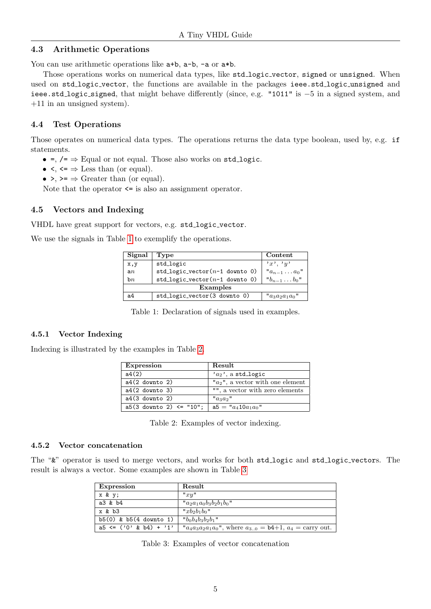#### <span id="page-4-0"></span>4.3 Arithmetic Operations

You can use arithmetic operations like  $a+b$ ,  $a-b$ ,  $-a$  or  $a*b$ .

Those operations works on numerical data types, like std\_logic\_vector, signed or unsigned. When used on std\_logic\_vector, the functions are available in the packages ieee.std\_logic\_unsigned and ieee.std logic signed, that might behave differently (since, e.g. "1011" is −5 in a signed system, and +11 in an unsigned system).

## <span id="page-4-1"></span>4.4 Test Operations

Those operates on numerical data types. The operations returns the data type boolean, used by, e.g. if statements.

- $\bullet =$ ,  $\prime = \Rightarrow$  Equal or not equal. Those also works on std\_logic.
- $\leq, \leq \Rightarrow$  Less than (or equal).
- $\rightarrow$   $\rightarrow$  Greater than (or equal).

Note that the operator  $\leq$  is also an assignment operator.

## <span id="page-4-2"></span>4.5 Vectors and Indexing

VHDL have great support for vectors, e.g. std\_logic\_vector.

<span id="page-4-3"></span>We use the signals in Table [1](#page-4-3) to exemplify the operations.

| Signal   | Type                                | Content                |  |
|----------|-------------------------------------|------------------------|--|
| x,y      | std_logic                           | x, y, y                |  |
| an       | $std\_logic\_vector(n-1)$ downto 0) | $a_{n-1} \ldots a_0$ " |  |
| bn       | std_logic_vector( $n-1$ downto 0)   | $"b_{n-1} \ldots b_0"$ |  |
| Examples |                                     |                        |  |
| a4       | std_logic_vector(3 downto 0)        | " $a_3a_2a_1a_0$ "     |  |

Table 1: Declaration of signals used in examples.

#### 4.5.1 Vector Indexing

<span id="page-4-4"></span>Indexing is illustrated by the examples in Table [2.](#page-4-4)

| Expression                   | Result                               |
|------------------------------|--------------------------------------|
| a4(2)                        | $a_2$ , a std_logic                  |
| $a4(2$ downto 2)             | " $a_2$ ", a vector with one element |
| $a4(2$ downto 3)             | "", a vector with zero elements      |
| $a4(3$ downto 2)             | $"a_3a_2"$                           |
| $a5(3$ downto 2) $\le$ "10"; | a5 = $a_4 10a_1a_0$ "                |

Table 2: Examples of vector indexing.

#### 4.5.2 Vector concatenation

<span id="page-4-5"></span>The " $\&$ " operator is used to merge vectors, and works for both std\_logic and std\_logic\_vectors. The result is always a vector. Some examples are shown in Table [3](#page-4-5)

| <b>Expression</b>          | Result                                                                    |
|----------------------------|---------------------------------------------------------------------------|
| x & y;                     | "xy"                                                                      |
| a3 & b4                    | " $a_2a_1a_0b_3b_2b_1b_0$ "                                               |
| x & b3                     | " $xb_2b_1b_0$ "                                                          |
| $b5(0)$ & $b5(4$ downto 1) | " $b_0b_4b_3b_2b_1$ "                                                     |
| $a5 \leq (0' \& b4) + '1'$ | " $a_4a_3a_2a_1a_0$ ", where $a_{3,0} = b4+1$ , $a_4 = \text{carry out.}$ |

Table 3: Examples of vector concatenation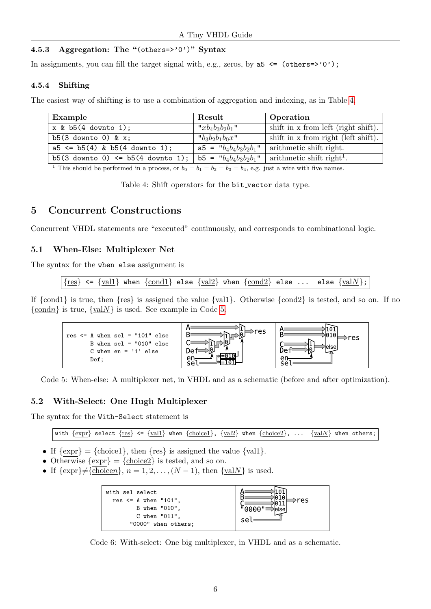### 4.5.3 Aggregation: The "(others=>'0')" Syntax

In assignments, you can fill the target signal with, e.g., zeros, by  $a5 \le (others=>0')$ ;

#### 4.5.4 Shifting

<span id="page-5-3"></span>The easiest way of shifting is to use a combination of aggregation and indexing, as in Table [4.](#page-5-3)

| Example                               | Result                                      | Operation                             |
|---------------------------------------|---------------------------------------------|---------------------------------------|
| $x & b5(4$ downto 1);                 | " $xb_4b_3b_2b_1$ "                         | shift in x from left (right shift).   |
| $b5(3$ downto 0) & x;                 | " $b_3b_2b_1b_0x$ "                         | shift in x from right (left shift).   |
| $a5 \leq b5(4)$ & $b5(4$ downto 1);   | $a5 = "b_4b_4b_3b_2b_1"$                    | arithmetic shift right.               |
| $b5(3$ downto 0) <= $b5(4$ downto 1); | b5 = $\mathsf{b}_{4}b_{4}b_{3}b_{2}b_{1}$ " | arithmetic shift right <sup>1</sup> . |

<sup>1</sup> This should be performed in a process, or  $b_0 = b_1 = b_2 = b_3 = b_4$ , e.g. just a wire with five names.

Table 4: Shift operators for the bit\_vector data type.

## <span id="page-5-0"></span>5 Concurrent Constructions

Concurrent VHDL statements are "executed" continuously, and corresponds to combinational logic.

## <span id="page-5-1"></span>5.1 When-Else: Multiplexer Net

The syntax for the when else assignment is

 ${res} \leftarrow {\text{val1}}$  when  ${\text{cond1}}$  else  ${\text{val2}}$  when  ${\text{cond2}}$  else ... else  ${\text{valN}}$ ;

<span id="page-5-4"></span>If  $\{\text{cond1}\}\$ is true, then  $\{\text{res}\}\$ is assigned the value  $\{\text{vall}\}\$ . Otherwise  $\{\text{cond2}\}\$ is tested, and so on. If no  $\{\underline{\text{cond}} n\}$  is true,  $\{\underline{\text{val}} N\}$  is used. See example in Code [5.](#page-5-4)



Code 5: When-else: A multiplexer net, in VHDL and as a schematic (before and after optimization).

## <span id="page-5-2"></span>5.2 With-Select: One Hugh Multiplexer

The syntax for the With-Select statement is

with  $\{expr\}$  select  $\{res\} \leq \{vall\}$  when  $\{choice1\}$ ,  $\{val2\}$  when  $\{choice2\}$ , ...  $\{valN\}$  when others;

- If  $\{ \text{expr} \} = \{ \text{choice1} \}$ , then  $\{ \text{res} \}$  is assigned the value  $\{ \text{val1} \}$ .
- Otherwise  $\{ \exp \} = \{ \underline{\text{choice2}} \}$  is tested, and so on.
- If  $\{\exp\} \neq {\text{choice } n}, n = 1, 2, \ldots, (N 1), \text{ then } {\text{val } N} \text{ is used.}$



Code 6: With-select: One big multiplexer, in VHDL and as a schematic.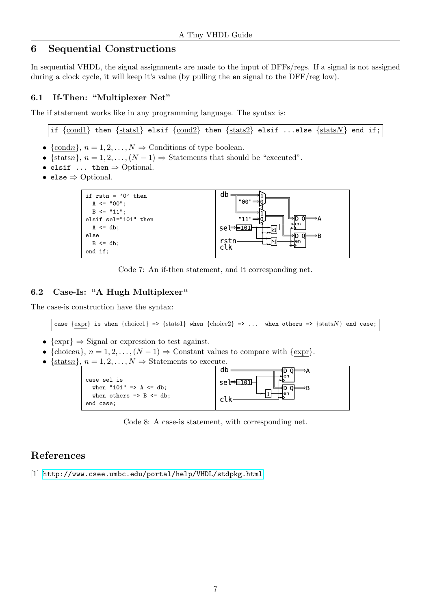## <span id="page-6-0"></span>6 Sequential Constructions

In sequential VHDL, the signal assignments are made to the input of DFFs/regs. If a signal is not assigned during a clock cycle, it will keep it's value (by pulling the en signal to the DFF/reg low).

## <span id="page-6-1"></span>6.1 If-Then: "Multiplexer Net"

The if statement works like in any programming language. The syntax is:

if  $\{\text{cond1}\}\$  then  $\{\text{stats1}\}\$ elsif  $\{\text{cond2}\}\$ then  $\{\text{stats2}\}\$ elsif ...else  $\{\text{statsN}\}\$ end if;

- {condn},  $n = 1, 2, ..., N \Rightarrow$  Conditions of type boolean.
- {statsn},  $n = 1, 2, ..., (N 1)$   $\Rightarrow$  Statements that should be "executed".
- elsif  $\dots$  then  $\Rightarrow$  Optional.
- else ⇒ Optional.



Code 7: An if-then statement, and it corresponding net.

#### <span id="page-6-2"></span>6.2 Case-Is: "A Hugh Multiplexer"

The case-is construction have the syntax:

case  $\{expr\}$  is when  $\{choice1\}$  =>  $\{stat1\}$  when  $\{choice2\}$  => ... when others =>  $\{statsN\}$  end case;

- $\{\text{expr}\}\Rightarrow$  Signal or expression to test against.
- ${\overline{\{\text{choice} n\}}}$ ,  $n = 1, 2, ..., (N 1) \Rightarrow$  Constant values to compare with  ${\text{expr}}$ .
- { ${\text{stats } n}$ },  $n = 1, 2, ..., N \Rightarrow$  Statements to execute.



Code 8: A case-is statement, with corresponding net.

## References

<span id="page-6-3"></span>[1] <http://www.csee.umbc.edu/portal/help/VHDL/stdpkg.html>